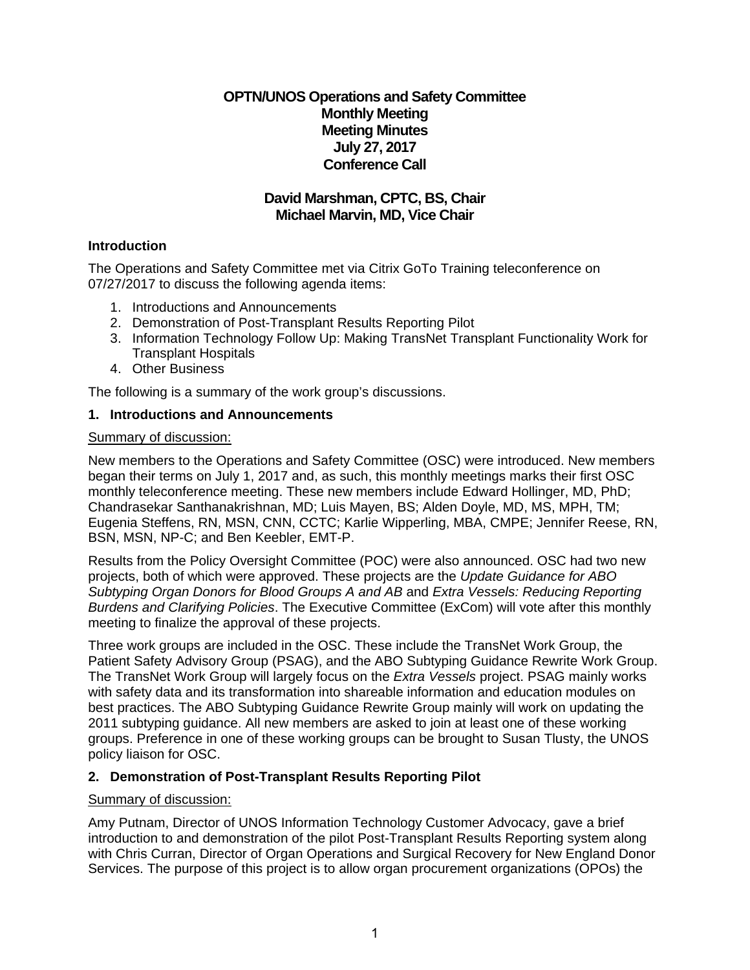**OPTN/UNOS Operations and Safety Committee Monthly Meeting Meeting Minutes July 27, 2017 Conference Call**

# **David Marshman, CPTC, BS, Chair Michael Marvin, MD, Vice Chair**

# **Introduction**

The Operations and Safety Committee met via Citrix GoTo Training teleconference on 07/27/2017 to discuss the following agenda items:

- 1. Introductions and Announcements
- 2. Demonstration of Post-Transplant Results Reporting Pilot
- 3. Information Technology Follow Up: Making TransNet Transplant Functionality Work for Transplant Hospitals
- 4. Other Business

The following is a summary of the work group's discussions.

## **1. Introductions and Announcements**

### Summary of discussion:

New members to the Operations and Safety Committee (OSC) were introduced. New members began their terms on July 1, 2017 and, as such, this monthly meetings marks their first OSC monthly teleconference meeting. These new members include Edward Hollinger, MD, PhD; Chandrasekar Santhanakrishnan, MD; Luis Mayen, BS; Alden Doyle, MD, MS, MPH, TM; Eugenia Steffens, RN, MSN, CNN, CCTC; Karlie Wipperling, MBA, CMPE; Jennifer Reese, RN, BSN, MSN, NP-C; and Ben Keebler, EMT-P.

Results from the Policy Oversight Committee (POC) were also announced. OSC had two new projects, both of which were approved. These projects are the *Update Guidance for ABO Subtyping Organ Donors for Blood Groups A and AB* and *Extra Vessels: Reducing Reporting Burdens and Clarifying Policies*. The Executive Committee (ExCom) will vote after this monthly meeting to finalize the approval of these projects.

Three work groups are included in the OSC. These include the TransNet Work Group, the Patient Safety Advisory Group (PSAG), and the ABO Subtyping Guidance Rewrite Work Group. The TransNet Work Group will largely focus on the *Extra Vessels* project. PSAG mainly works with safety data and its transformation into shareable information and education modules on best practices. The ABO Subtyping Guidance Rewrite Group mainly will work on updating the 2011 subtyping guidance. All new members are asked to join at least one of these working groups. Preference in one of these working groups can be brought to Susan Tlusty, the UNOS policy liaison for OSC.

# **2. Demonstration of Post-Transplant Results Reporting Pilot**

### Summary of discussion:

Amy Putnam, Director of UNOS Information Technology Customer Advocacy, gave a brief introduction to and demonstration of the pilot Post-Transplant Results Reporting system along with Chris Curran, Director of Organ Operations and Surgical Recovery for New England Donor Services. The purpose of this project is to allow organ procurement organizations (OPOs) the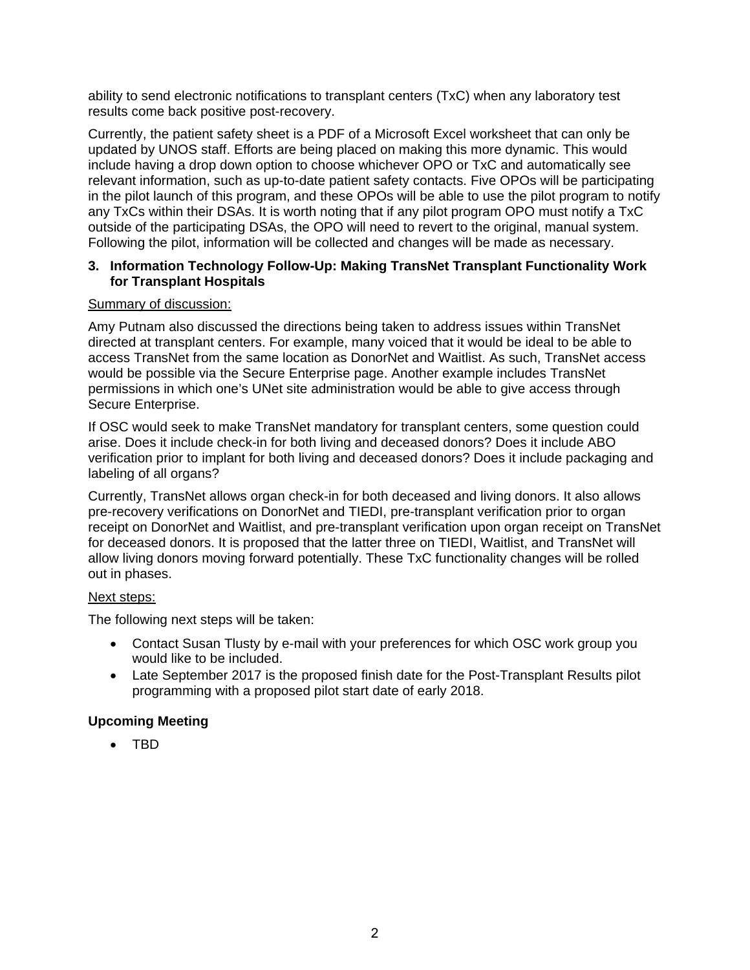ability to send electronic notifications to transplant centers (TxC) when any laboratory test results come back positive post-recovery.

Currently, the patient safety sheet is a PDF of a Microsoft Excel worksheet that can only be updated by UNOS staff. Efforts are being placed on making this more dynamic. This would include having a drop down option to choose whichever OPO or TxC and automatically see relevant information, such as up-to-date patient safety contacts. Five OPOs will be participating in the pilot launch of this program, and these OPOs will be able to use the pilot program to notify any TxCs within their DSAs. It is worth noting that if any pilot program OPO must notify a TxC outside of the participating DSAs, the OPO will need to revert to the original, manual system. Following the pilot, information will be collected and changes will be made as necessary.

### **3. Information Technology Follow-Up: Making TransNet Transplant Functionality Work for Transplant Hospitals**

### Summary of discussion:

Amy Putnam also discussed the directions being taken to address issues within TransNet directed at transplant centers. For example, many voiced that it would be ideal to be able to access TransNet from the same location as DonorNet and Waitlist. As such, TransNet access would be possible via the Secure Enterprise page. Another example includes TransNet permissions in which one's UNet site administration would be able to give access through Secure Enterprise.

If OSC would seek to make TransNet mandatory for transplant centers, some question could arise. Does it include check-in for both living and deceased donors? Does it include ABO verification prior to implant for both living and deceased donors? Does it include packaging and labeling of all organs?

Currently, TransNet allows organ check-in for both deceased and living donors. It also allows pre-recovery verifications on DonorNet and TIEDI, pre-transplant verification prior to organ receipt on DonorNet and Waitlist, and pre-transplant verification upon organ receipt on TransNet for deceased donors. It is proposed that the latter three on TIEDI, Waitlist, and TransNet will allow living donors moving forward potentially. These TxC functionality changes will be rolled out in phases.

### Next steps:

The following next steps will be taken:

- Contact Susan Tlusty by e-mail with your preferences for which OSC work group you would like to be included.
- Late September 2017 is the proposed finish date for the Post-Transplant Results pilot programming with a proposed pilot start date of early 2018.

# **Upcoming Meeting**

• TBD